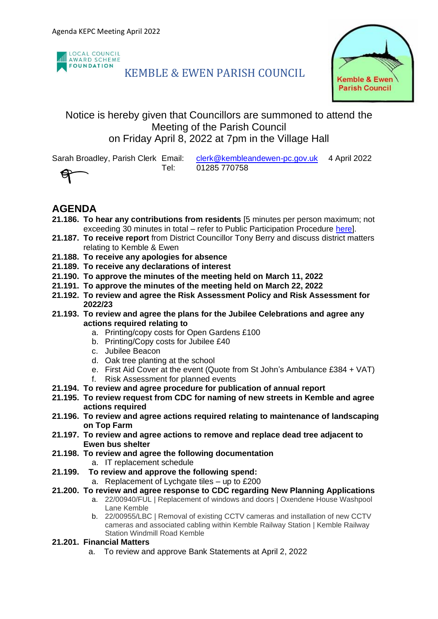

# KEMBLE & EWEN PARISH COUNCIL



### Notice is hereby given that Councillors are summoned to attend the Meeting of the Parish Council on Friday April 8, 2022 at 7pm in the Village Hall

Sarah Broadley, Parish Clerk Email: [clerk@kembleandewen-pc.gov.uk](mailto:clerk@kembleandewen-pc.gov.uk) 4 April 2022 Tel: 01285 770758



## **AGENDA**

- **21.186. To hear any contributions from residents** [5 minutes per person maximum; not exceeding 30 minutes in total – refer to Public Participation Procedure [here\]](https://kembleandewen-pc.gov.uk/wp-content/uploads/2021/02/Public-Participation-at-Parish-Council-Meetings.pdf).
- **21.187. To receive report** from District Councillor Tony Berry and discuss district matters relating to Kemble & Ewen
- **21.188. To receive any apologies for absence**
- **21.189. To receive any declarations of interest**
- **21.190. To approve the minutes of the meeting held on March 11, 2022**
- **21.191. To approve the minutes of the meeting held on March 22, 2022**
- **21.192. To review and agree the Risk Assessment Policy and Risk Assessment for 2022/23**
- **21.193. To review and agree the plans for the Jubilee Celebrations and agree any actions required relating to**
	- a. Printing/copy costs for Open Gardens £100
	- b. Printing/Copy costs for Jubilee £40
	- c. Jubilee Beacon
	- d. Oak tree planting at the school
	- e. First Aid Cover at the event (Quote from St John's Ambulance £384 + VAT)
	- f. Risk Assessment for planned events
- **21.194. To review and agree procedure for publication of annual report**
- **21.195. To review request from CDC for naming of new streets in Kemble and agree actions required**
- **21.196. To review and agree actions required relating to maintenance of landscaping on Top Farm**
- **21.197. To review and agree actions to remove and replace dead tree adjacent to Ewen bus shelter**
- **21.198. To review and agree the following documentation** a. IT replacement schedule
- **21.199. To review and approve the following spend:**
	- a. Replacement of Lychgate tiles up to £200
- **21.200. To review and agree response to CDC regarding New Planning Applications**
	- a. 22/00940/FUL | Replacement of windows and doors | Oxendene House Washpool Lane Kemble
		- b. 22/00955/LBC | Removal of existing CCTV cameras and installation of new CCTV cameras and associated cabling within Kemble Railway Station | Kemble Railway Station Windmill Road Kemble
- **21.201. Financial Matters**
	- a. To review and approve Bank Statements at April 2, 2022